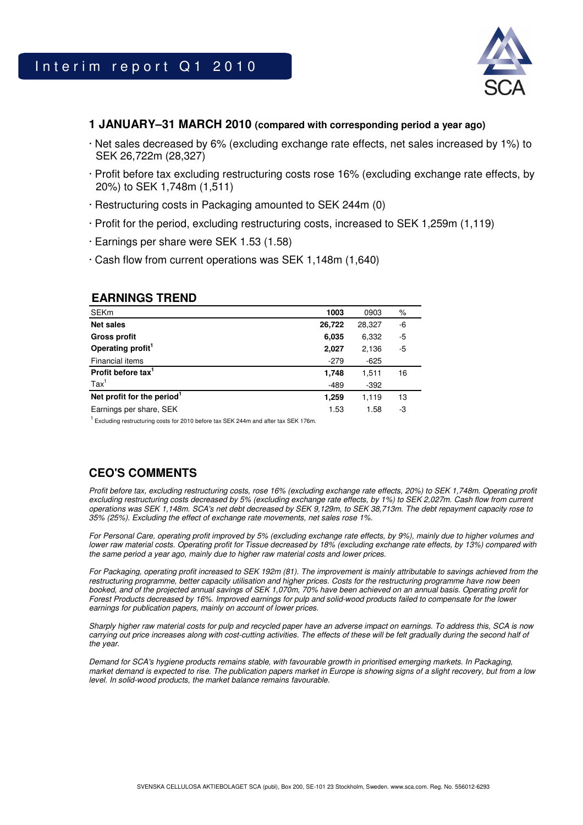

## **1 JANUARY–31 MARCH 2010 (compared with corresponding period a year ago)**

- · Net sales decreased by 6% (excluding exchange rate effects, net sales increased by 1%) to SEK 26,722m (28,327)
- · Profit before tax excluding restructuring costs rose 16% (excluding exchange rate effects, by 20%) to SEK 1,748m (1,511)
- · Restructuring costs in Packaging amounted to SEK 244m (0)
- · Profit for the period, excluding restructuring costs, increased to SEK 1,259m (1,119)
- · Earnings per share were SEK 1.53 (1.58)
- · Cash flow from current operations was SEK 1,148m (1,640)

## **EARNINGS TREND**

| <b>SEKm</b>                            | 1003   | 0903   | %  |
|----------------------------------------|--------|--------|----|
| <b>Net sales</b>                       | 26,722 | 28,327 | -6 |
| <b>Gross profit</b>                    | 6,035  | 6,332  | -5 |
| Operating profit <sup>1</sup>          | 2,027  | 2,136  | -5 |
| Financial items                        | $-279$ | $-625$ |    |
| Profit before tax <sup>1</sup>         | 1,748  | 1,511  | 16 |
| $\text{Tax}^1$                         | $-489$ | $-392$ |    |
| Net profit for the period <sup>1</sup> | 1,259  | 1,119  | 13 |
| Earnings per share, SEK                | 1.53   | 1.58   | -3 |

<sup>1</sup>Excluding restructuring costs for 2010 before tax SEK 244m and after tax SEK 176m.

## **CEO'S COMMENTS**

Profit before tax, excluding restructuring costs, rose 16% (excluding exchange rate effects, 20%) to SEK 1,748m. Operating profit excluding restructuring costs decreased by 5% (excluding exchange rate effects, by 1%) to SEK 2,027m. Cash flow from current operations was SEK 1,148m. SCA's net debt decreased by SEK 9,129m, to SEK 38,713m. The debt repayment capacity rose to 35% (25%). Excluding the effect of exchange rate movements, net sales rose 1%.

For Personal Care, operating profit improved by 5% (excluding exchange rate effects, by 9%), mainly due to higher volumes and lower raw material costs. Operating profit for Tissue decreased by 18% (excluding exchange rate effects, by 13%) compared with the same period a year ago, mainly due to higher raw material costs and lower prices.

For Packaging, operating profit increased to SEK 192m (81). The improvement is mainly attributable to savings achieved from the restructuring programme, better capacity utilisation and higher prices. Costs for the restructuring programme have now been booked, and of the projected annual savings of SEK 1,070m, 70% have been achieved on an annual basis. Operating profit for Forest Products decreased by 16%. Improved earnings for pulp and solid-wood products failed to compensate for the lower earnings for publication papers, mainly on account of lower prices.

Sharply higher raw material costs for pulp and recycled paper have an adverse impact on earnings. To address this, SCA is now carrying out price increases along with cost-cutting activities. The effects of these will be felt gradually during the second half of the year.

Demand for SCA's hygiene products remains stable, with favourable growth in prioritised emerging markets. In Packaging, market demand is expected to rise. The publication papers market in Europe is showing signs of a slight recovery, but from a low level. In solid-wood products, the market balance remains favourable.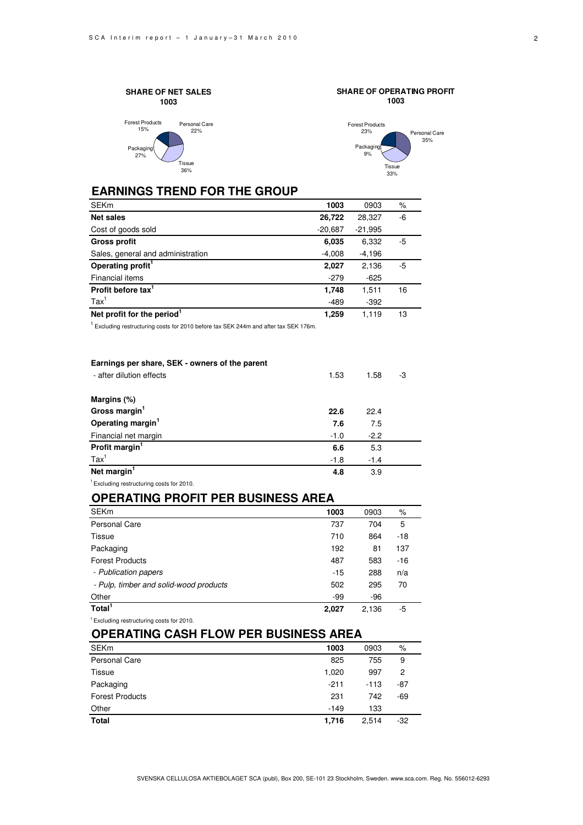





## **EARNINGS TREND FOR THE GROUP**

| <b>SEKm</b>                       | 1003      | 0903      | %  |
|-----------------------------------|-----------|-----------|----|
| Net sales                         | 26,722    | 28,327    | -6 |
| Cost of goods sold                | $-20,687$ | $-21,995$ |    |
| <b>Gross profit</b>               | 6,035     | 6,332     | -5 |
| Sales, general and administration | $-4,008$  | $-4,196$  |    |
| Operating profit <sup>1</sup>     | 2,027     | 2,136     | -5 |
| Financial items                   | $-279$    | $-625$    |    |
| Profit before tax <sup>1</sup>    | 1,748     | 1.511     | 16 |
| $\text{Tax}^1$                    | $-489$    | $-392$    |    |
| Net profit for the period         | 1.259     | 1.119     | 13 |

 $1$  Excluding restructuring costs for 2010 before tax SEK 244m and after tax SEK 176m.

| Earnings per share, SEK - owners of the parent       |        |        |    |
|------------------------------------------------------|--------|--------|----|
| - after dilution effects                             | 1.53   | 1.58   | -3 |
|                                                      |        |        |    |
| Margins (%)                                          |        |        |    |
| Gross margin <sup>1</sup>                            | 22.6   | 22.4   |    |
| Operating margin <sup>1</sup>                        | 7.6    | 7.5    |    |
| Financial net margin                                 | $-1.0$ | $-2.2$ |    |
| Profit margin <sup>1</sup>                           | 6.6    | 5.3    |    |
| $\text{Tax}^1$                                       | $-1.8$ | $-1.4$ |    |
| Net margin <sup>1</sup>                              | 4.8    | 3.9    |    |
| <sup>1</sup> Excluding restructuring costs for 2010. |        |        |    |

**OPERATING PROFIT PER BUSINESS AREA**

| <b>SEKm</b>                            | 1003  | 0903  | $\%$  |  |
|----------------------------------------|-------|-------|-------|--|
| Personal Care                          | 737   | 704   | 5     |  |
| Tissue                                 | 710   | 864   | $-18$ |  |
| Packaging                              | 192   | 81    | 137   |  |
| <b>Forest Products</b>                 | 487   | 583   | $-16$ |  |
| - Publication papers                   | $-15$ | 288   | n/a   |  |
| - Pulp, timber and solid-wood products | 502   | 295   | 70    |  |
| Other                                  | -99   | $-96$ |       |  |
| Total <sup>1</sup>                     | 2.027 | 2.136 | -5    |  |

<sup>1</sup>Excluding restructuring costs for 2010.

## **OPERATING CASH FLOW PER BUSINESS AREA**

| <b>SEKm</b>            | 1003   | 0903   | %     |
|------------------------|--------|--------|-------|
| <b>Personal Care</b>   | 825    | 755    | 9     |
| Tissue                 | 1,020  | 997    | 2     |
| Packaging              | $-211$ | $-113$ | $-87$ |
| <b>Forest Products</b> | 231    | 742    | $-69$ |
| Other                  | $-149$ | 133    |       |
| <b>Total</b>           | 1,716  | 2.514  | $-32$ |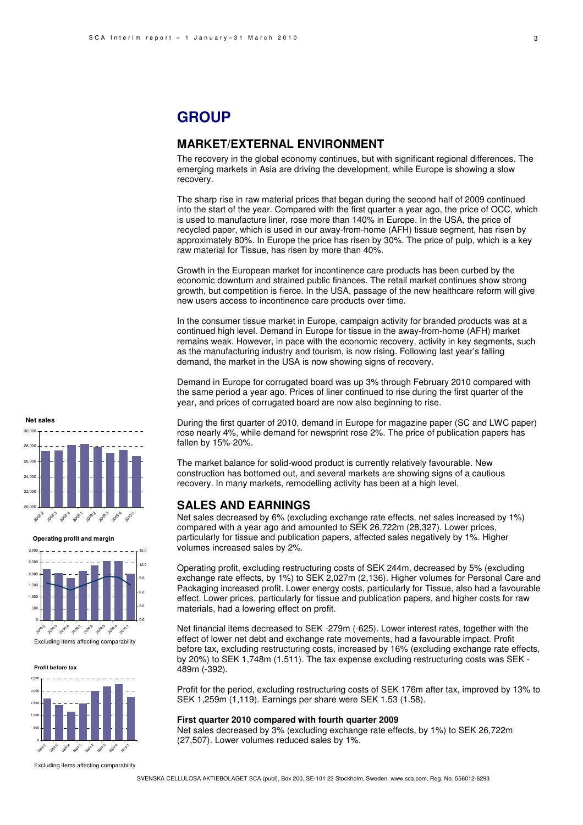#### 3

# **GROUP**

## **MARKET/EXTERNAL ENVIRONMENT**

The recovery in the global economy continues, but with significant regional differences. The emerging markets in Asia are driving the development, while Europe is showing a slow recovery.

The sharp rise in raw material prices that began during the second half of 2009 continued into the start of the year. Compared with the first quarter a year ago, the price of OCC, which is used to manufacture liner, rose more than 140% in Europe. In the USA, the price of recycled paper, which is used in our away-from-home (AFH) tissue segment, has risen by approximately 80%. In Europe the price has risen by 30%. The price of pulp, which is a key raw material for Tissue, has risen by more than 40%.

Growth in the European market for incontinence care products has been curbed by the economic downturn and strained public finances. The retail market continues show strong growth, but competition is fierce. In the USA, passage of the new healthcare reform will give new users access to incontinence care products over time.

In the consumer tissue market in Europe, campaign activity for branded products was at a continued high level. Demand in Europe for tissue in the away-from-home (AFH) market remains weak. However, in pace with the economic recovery, activity in key segments, such as the manufacturing industry and tourism, is now rising. Following last year's falling demand, the market in the USA is now showing signs of recovery.

Demand in Europe for corrugated board was up 3% through February 2010 compared with the same period a year ago. Prices of liner continued to rise during the first quarter of the year, and prices of corrugated board are now also beginning to rise.

During the first quarter of 2010, demand in Europe for magazine paper (SC and LWC paper) rose nearly 4%, while demand for newsprint rose 2%. The price of publication papers has fallen by 15%-20%.

The market balance for solid-wood product is currently relatively favourable. New construction has bottomed out, and several markets are showing signs of a cautious recovery. In many markets, remodelling activity has been at a high level.

## **SALES AND EARNINGS**

Net sales decreased by 6% (excluding exchange rate effects, net sales increased by 1%) compared with a year ago and amounted to SEK 26,722m (28,327). Lower prices, particularly for tissue and publication papers, affected sales negatively by 1%. Higher volumes increased sales by 2%.

Operating profit, excluding restructuring costs of SEK 244m, decreased by 5% (excluding exchange rate effects, by 1%) to SEK 2,027m (2,136). Higher volumes for Personal Care and Packaging increased profit. Lower energy costs, particularly for Tissue, also had a favourable effect. Lower prices, particularly for tissue and publication papers, and higher costs for raw materials, had a lowering effect on profit.

Net financial items decreased to SEK -279m (-625). Lower interest rates, together with the effect of lower net debt and exchange rate movements, had a favourable impact. Profit before tax, excluding restructuring costs, increased by 16% (excluding exchange rate effects, by 20%) to SEK 1,748m (1,511). The tax expense excluding restructuring costs was SEK - 489m (-392).

Profit for the period, excluding restructuring costs of SEK 176m after tax, improved by 13% to SEK 1,259m (1,119). Earnings per share were SEK 1.53 (1.58).

#### **First quarter 2010 compared with fourth quarter 2009**

Net sales decreased by 3% (excluding exchange rate effects, by 1%) to SEK 26,722m (27,507). Lower volumes reduced sales by 1%.



**Operating profit and margin**



Excluding items affecting comparability

**Profit before tax**



Excluding items affecting comparability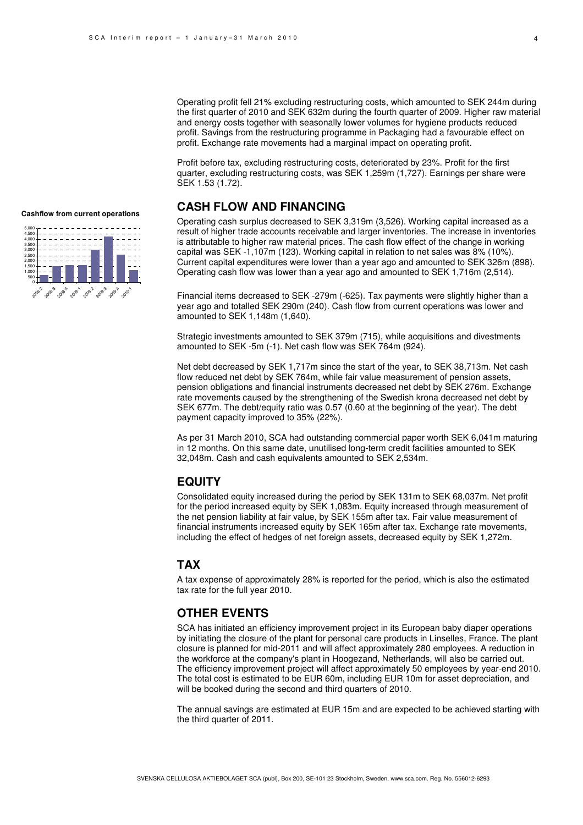Operating profit fell 21% excluding restructuring costs, which amounted to SEK 244m during the first quarter of 2010 and SEK 632m during the fourth quarter of 2009. Higher raw material and energy costs together with seasonally lower volumes for hygiene products reduced profit. Savings from the restructuring programme in Packaging had a favourable effect on profit. Exchange rate movements had a marginal impact on operating profit.

Profit before tax, excluding restructuring costs, deteriorated by 23%. Profit for the first quarter, excluding restructuring costs, was SEK 1,259m (1,727). Earnings per share were SEK 1.53 (1.72).

## **CASH FLOW AND FINANCING**

Operating cash surplus decreased to SEK 3,319m (3,526). Working capital increased as a result of higher trade accounts receivable and larger inventories. The increase in inventories is attributable to higher raw material prices. The cash flow effect of the change in working capital was SEK -1,107m (123). Working capital in relation to net sales was 8% (10%). Current capital expenditures were lower than a year ago and amounted to SEK 326m (898). Operating cash flow was lower than a year ago and amounted to SEK 1,716m (2,514).

Financial items decreased to SEK -279m (-625). Tax payments were slightly higher than a year ago and totalled SEK 290m (240). Cash flow from current operations was lower and amounted to SEK 1,148m (1,640).

Strategic investments amounted to SEK 379m (715), while acquisitions and divestments amounted to SEK -5m (-1). Net cash flow was SEK 764m (924).

Net debt decreased by SEK 1,717m since the start of the year, to SEK 38,713m. Net cash flow reduced net debt by SEK 764m, while fair value measurement of pension assets, pension obligations and financial instruments decreased net debt by SEK 276m. Exchange rate movements caused by the strengthening of the Swedish krona decreased net debt by SEK 677m. The debt/equity ratio was 0.57 (0.60 at the beginning of the year). The debt payment capacity improved to 35% (22%).

As per 31 March 2010, SCA had outstanding commercial paper worth SEK 6,041m maturing in 12 months. On this same date, unutilised long-term credit facilities amounted to SEK 32,048m. Cash and cash equivalents amounted to SEK 2,534m.

### **EQUITY**

Consolidated equity increased during the period by SEK 131m to SEK 68,037m. Net profit for the period increased equity by SEK 1,083m. Equity increased through measurement of the net pension liability at fair value, by SEK 155m after tax. Fair value measurement of financial instruments increased equity by SEK 165m after tax. Exchange rate movements, including the effect of hedges of net foreign assets, decreased equity by SEK 1,272m.

### **TAX**

A tax expense of approximately 28% is reported for the period, which is also the estimated tax rate for the full year 2010.

## **OTHER EVENTS**

SCA has initiated an efficiency improvement project in its European baby diaper operations by initiating the closure of the plant for personal care products in Linselles, France. The plant closure is planned for mid-2011 and will affect approximately 280 employees. A reduction in the workforce at the company's plant in Hoogezand, Netherlands, will also be carried out. The efficiency improvement project will affect approximately 50 employees by year-end 2010. The total cost is estimated to be EUR 60m, including EUR 10m for asset depreciation, and will be booked during the second and third quarters of 2010.

The annual savings are estimated at EUR 15m and are expected to be achieved starting with the third quarter of 2011.

### **Cashflow from current operations**

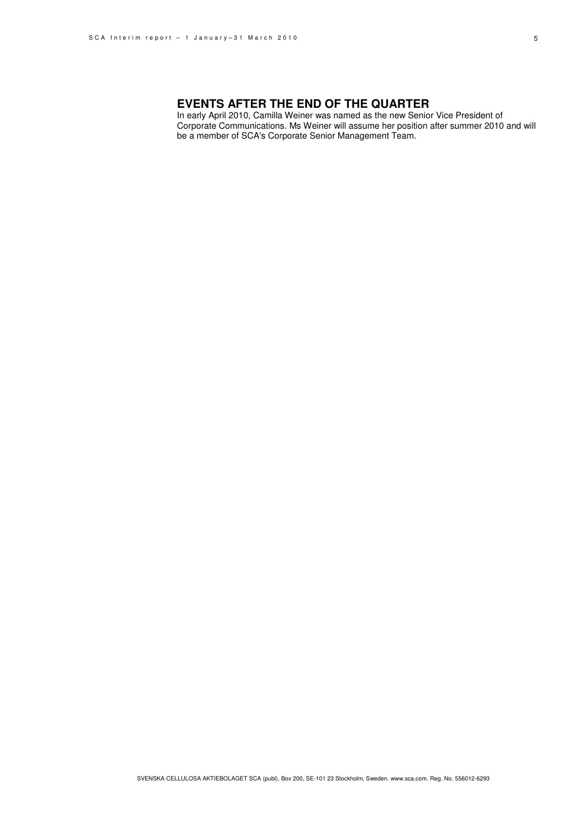#### 5

## **EVENTS AFTER THE END OF THE QUARTER**

In early April 2010, Camilla Weiner was named as the new Senior Vice President of Corporate Communications. Ms Weiner will assume her position after summer 2010 and will be a member of SCA's Corporate Senior Management Team.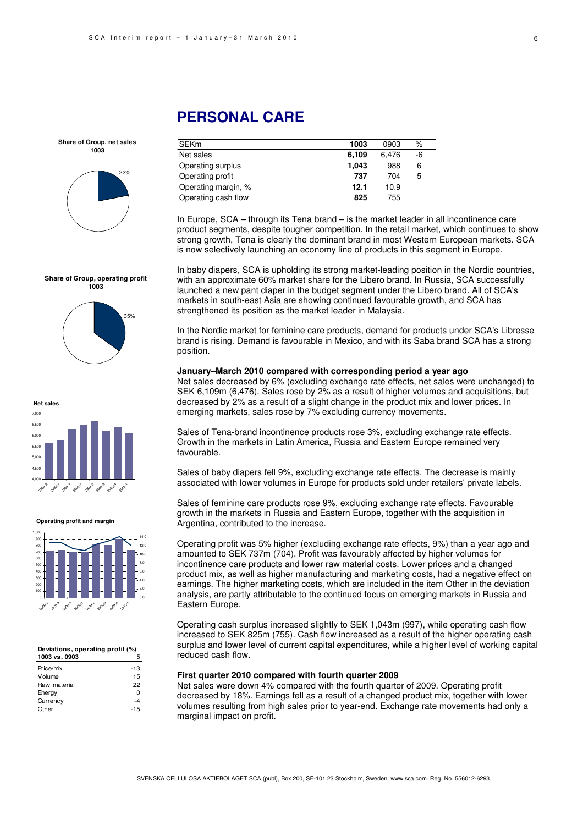# **PERSONAL CARE**

**Share of Group, net sales 1003**



**Share of Group, operating profit 1003**



**Net sales**



#### **Operating profit and margin**



### **Deviations, operating profit (%)**

| 1003 vs. 0903 |       |
|---------------|-------|
| Price/mix     | $-13$ |
| Volume        | 15    |
| Raw material  | 22    |
| Energy        | ŋ     |
| Currency      | $-4$  |
| Other         | $-15$ |

| SEKm                | 1003  | 0903  | $\%$ |  |
|---------------------|-------|-------|------|--|
| Net sales           | 6,109 | 6.476 | -6   |  |
| Operating surplus   | 1,043 | 988   | 6    |  |
| Operating profit    | 737   | 704   | 5    |  |
| Operating margin, % | 12.1  | 10.9  |      |  |
| Operating cash flow | 825   | 755   |      |  |

In Europe, SCA – through its Tena brand – is the market leader in all incontinence care product segments, despite tougher competition. In the retail market, which continues to show strong growth, Tena is clearly the dominant brand in most Western European markets. SCA is now selectively launching an economy line of products in this segment in Europe.

In baby diapers, SCA is upholding its strong market-leading position in the Nordic countries, with an approximate 60% market share for the Libero brand. In Russia, SCA successfully launched a new pant diaper in the budget segment under the Libero brand. All of SCA's markets in south-east Asia are showing continued favourable growth, and SCA has strengthened its position as the market leader in Malaysia.

In the Nordic market for feminine care products, demand for products under SCA's Libresse brand is rising. Demand is favourable in Mexico, and with its Saba brand SCA has a strong position.

### **January–March 2010 compared with corresponding period a year ago**

Net sales decreased by 6% (excluding exchange rate effects, net sales were unchanged) to SEK 6,109m (6,476). Sales rose by 2% as a result of higher volumes and acquisitions, but decreased by 2% as a result of a slight change in the product mix and lower prices. In emerging markets, sales rose by 7% excluding currency movements.

Sales of Tena-brand incontinence products rose 3%, excluding exchange rate effects. Growth in the markets in Latin America, Russia and Eastern Europe remained very favourable.

Sales of baby diapers fell 9%, excluding exchange rate effects. The decrease is mainly associated with lower volumes in Europe for products sold under retailers' private labels.

Sales of feminine care products rose 9%, excluding exchange rate effects. Favourable growth in the markets in Russia and Eastern Europe, together with the acquisition in Argentina, contributed to the increase.

Operating profit was 5% higher (excluding exchange rate effects, 9%) than a year ago and amounted to SEK 737m (704). Profit was favourably affected by higher volumes for incontinence care products and lower raw material costs. Lower prices and a changed product mix, as well as higher manufacturing and marketing costs, had a negative effect on earnings. The higher marketing costs, which are included in the item Other in the deviation analysis, are partly attributable to the continued focus on emerging markets in Russia and Eastern Europe.

Operating cash surplus increased slightly to SEK 1,043m (997), while operating cash flow increased to SEK 825m (755). Cash flow increased as a result of the higher operating cash surplus and lower level of current capital expenditures, while a higher level of working capital reduced cash flow.

### **First quarter 2010 compared with fourth quarter 2009**

Net sales were down 4% compared with the fourth quarter of 2009. Operating profit decreased by 18%. Earnings fell as a result of a changed product mix, together with lower volumes resulting from high sales prior to year-end. Exchange rate movements had only a marginal impact on profit.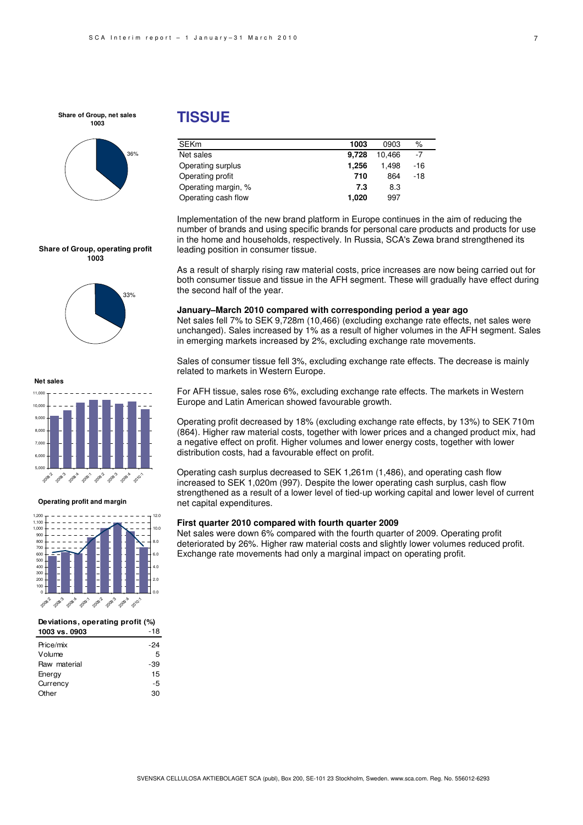**Share of Group, net sales 1003**



## **TISSUE**

| <b>SEKm</b>         | 1003  | 0903   | $\%$  |
|---------------------|-------|--------|-------|
| Net sales           | 9,728 | 10.466 | $-7$  |
| Operating surplus   | 1.256 | 1.498  | $-16$ |
| Operating profit    | 710   | 864    | $-18$ |
| Operating margin, % | 7.3   | 8.3    |       |
| Operating cash flow | 1,020 | 997    |       |

Implementation of the new brand platform in Europe continues in the aim of reducing the number of brands and using specific brands for personal care products and products for use in the home and households, respectively. In Russia, SCA's Zewa brand strengthened its leading position in consumer tissue.

#### **Share of Group, operating profit 1003**



**Net sales**



#### **Operating profit and margin**



| Deviations, operating profit (%) |     |  |
|----------------------------------|-----|--|
| 1003 vs. 0903                    | -18 |  |
| Price/mix                        | -24 |  |
| Volume                           | 5   |  |
| Raw material                     | -39 |  |
| Enerav                           | 15  |  |

Currency -5 Other 30

both consumer tissue and tissue in the AFH segment. These will gradually have effect during the second half of the year. **January–March 2010 compared with corresponding period a year ago** 

As a result of sharply rising raw material costs, price increases are now being carried out for

Net sales fell 7% to SEK 9,728m (10,466) (excluding exchange rate effects, net sales were unchanged). Sales increased by 1% as a result of higher volumes in the AFH segment. Sales in emerging markets increased by 2%, excluding exchange rate movements.

Sales of consumer tissue fell 3%, excluding exchange rate effects. The decrease is mainly related to markets in Western Europe.

For AFH tissue, sales rose 6%, excluding exchange rate effects. The markets in Western Europe and Latin American showed favourable growth.

Operating profit decreased by 18% (excluding exchange rate effects, by 13%) to SEK 710m (864). Higher raw material costs, together with lower prices and a changed product mix, had a negative effect on profit. Higher volumes and lower energy costs, together with lower distribution costs, had a favourable effect on profit.

Operating cash surplus decreased to SEK 1,261m (1,486), and operating cash flow increased to SEK 1,020m (997). Despite the lower operating cash surplus, cash flow strengthened as a result of a lower level of tied-up working capital and lower level of current net capital expenditures.

#### **First quarter 2010 compared with fourth quarter 2009**

Net sales were down 6% compared with the fourth quarter of 2009. Operating profit deteriorated by 26%. Higher raw material costs and slightly lower volumes reduced profit. Exchange rate movements had only a marginal impact on operating profit.

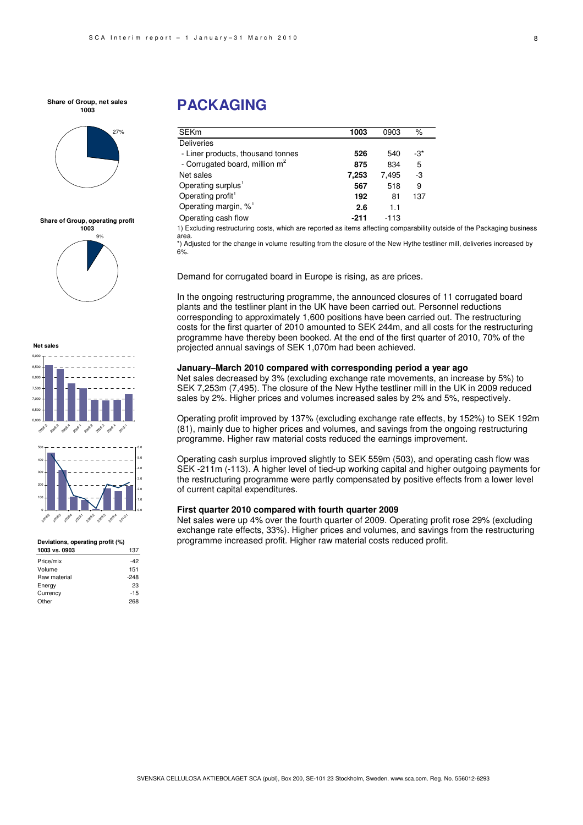**Share of Group, net sales 1003**



#### **Share of Group, operating profit**





#### **Deviations, operating profit (%)**

| 1003 vs. 0903 | 137    |
|---------------|--------|
| Price/mix     | -42    |
| Volume        | 151    |
| Raw material  | $-248$ |
| Energy        | 23     |
| Currency      | $-15$  |
| Other         | 268    |

# **PACKAGING**

| <b>SEKm</b>                                | 1003  | 0903   | %   |
|--------------------------------------------|-------|--------|-----|
| <b>Deliveries</b>                          |       |        |     |
| - Liner products, thousand tonnes          | 526   | 540    | -3* |
| - Corrugated board, million m <sup>2</sup> | 875   | 834    | 5   |
| Net sales                                  | 7,253 | 7.495  | -3  |
| Operating surplus <sup>1</sup>             | 567   | 518    | 9   |
| Operating profit <sup>1</sup>              | 192   | 81     | 137 |
| Operating margin, % <sup>1</sup>           | 2.6   | 1.1    |     |
| Operating cash flow                        | -211  | $-113$ |     |

1) Excluding restructuring costs, which are reported as items affecting comparability outside of the Packaging business area.

\*) Adjusted for the change in volume resulting from the closure of the New Hythe testliner mill, deliveries increased by  $6%$ 

Demand for corrugated board in Europe is rising, as are prices.

In the ongoing restructuring programme, the announced closures of 11 corrugated board plants and the testliner plant in the UK have been carried out. Personnel reductions corresponding to approximately 1,600 positions have been carried out. The restructuring costs for the first quarter of 2010 amounted to SEK 244m, and all costs for the restructuring programme have thereby been booked. At the end of the first quarter of 2010, 70% of the projected annual savings of SEK 1,070m had been achieved.

### **January–March 2010 compared with corresponding period a year ago**

Net sales decreased by 3% (excluding exchange rate movements, an increase by 5%) to SEK 7,253m (7,495). The closure of the New Hythe testliner mill in the UK in 2009 reduced sales by 2%. Higher prices and volumes increased sales by 2% and 5%, respectively.

Operating profit improved by 137% (excluding exchange rate effects, by 152%) to SEK 192m (81), mainly due to higher prices and volumes, and savings from the ongoing restructuring programme. Higher raw material costs reduced the earnings improvement.

Operating cash surplus improved slightly to SEK 559m (503), and operating cash flow was SEK -211m (-113). A higher level of tied-up working capital and higher outgoing payments for the restructuring programme were partly compensated by positive effects from a lower level of current capital expenditures.

### **First quarter 2010 compared with fourth quarter 2009**

Net sales were up 4% over the fourth quarter of 2009. Operating profit rose 29% (excluding exchange rate effects, 33%). Higher prices and volumes, and savings from the restructuring programme increased profit. Higher raw material costs reduced profit.

8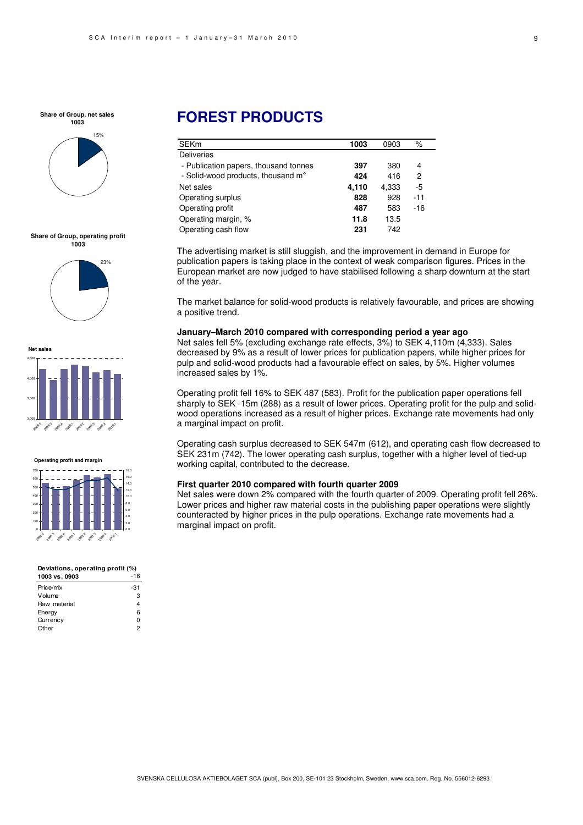**Share of Group, net sales 1003**



#### **Share of Group, operating profit 1003**



**Net sales** 3,000 3,500 4,000 4,500 2009-2 2009.3 20<sup>06.4</sup> 200.1 2012 2013 2009:4 2010:1





| Deviations, operating profit (%) |       |  |
|----------------------------------|-------|--|
| 1003 vs. 0903                    | $-16$ |  |
| Price/mix                        | -31   |  |
| Volume                           | з     |  |
| Raw material                     |       |  |
| Energy                           | 6     |  |
| Currency                         |       |  |

Other 2

# **FOREST PRODUCTS**

| <b>SEKm</b>                                    | 1003  | 0903  | %     |
|------------------------------------------------|-------|-------|-------|
| <b>Deliveries</b>                              |       |       |       |
| - Publication papers, thousand tonnes          | 397   | 380   | 4     |
| - Solid-wood products, thousand m <sup>3</sup> | 424   | 416   | 2     |
| Net sales                                      | 4,110 | 4,333 | $-5$  |
| Operating surplus                              | 828   | 928   | $-11$ |
| Operating profit                               | 487   | 583   | $-16$ |
| Operating margin, %                            | 11.8  | 13.5  |       |
| Operating cash flow                            | 231   | 742   |       |

The advertising market is still sluggish, and the improvement in demand in Europe for publication papers is taking place in the context of weak comparison figures. Prices in the European market are now judged to have stabilised following a sharp downturn at the start of the year.

The market balance for solid-wood products is relatively favourable, and prices are showing a positive trend.

#### **January–March 2010 compared with corresponding period a year ago**

Net sales fell 5% (excluding exchange rate effects, 3%) to SEK 4,110m (4,333). Sales decreased by 9% as a result of lower prices for publication papers, while higher prices for pulp and solid-wood products had a favourable effect on sales, by 5%. Higher volumes increased sales by 1%.

Operating profit fell 16% to SEK 487 (583). Profit for the publication paper operations fell sharply to SEK -15m (288) as a result of lower prices. Operating profit for the pulp and solidwood operations increased as a result of higher prices. Exchange rate movements had only a marginal impact on profit.

Operating cash surplus decreased to SEK 547m (612), and operating cash flow decreased to SEK 231m (742). The lower operating cash surplus, together with a higher level of tied-up working capital, contributed to the decrease.

### **First quarter 2010 compared with fourth quarter 2009**

Net sales were down 2% compared with the fourth quarter of 2009. Operating profit fell 26%. Lower prices and higher raw material costs in the publishing paper operations were slightly counteracted by higher prices in the pulp operations. Exchange rate movements had a marginal impact on profit.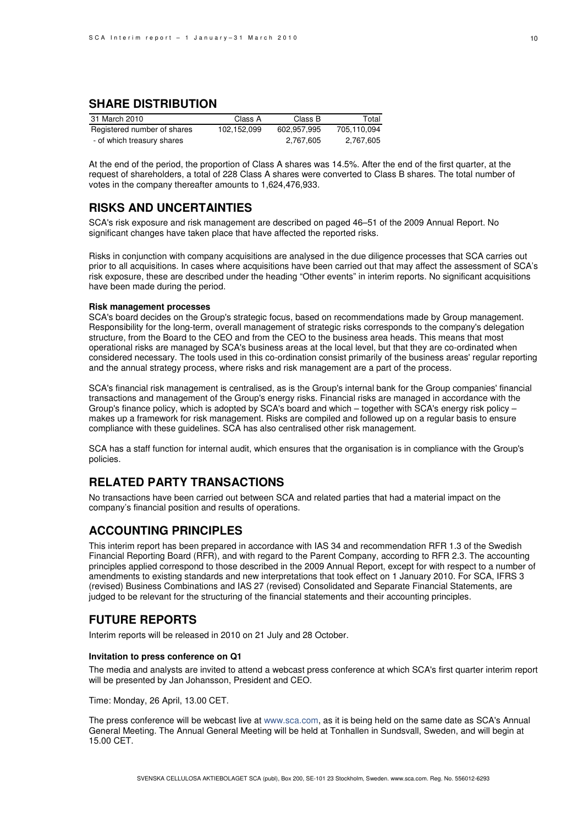## **SHARE DISTRIBUTION**

| 31 March 2010               | Class A     | Class B     | Total       |
|-----------------------------|-------------|-------------|-------------|
| Registered number of shares | 102.152.099 | 602.957.995 | 705,110,094 |
| - of which treasury shares  |             | 2,767,605   | 2,767,605   |

At the end of the period, the proportion of Class A shares was 14.5%. After the end of the first quarter, at the request of shareholders, a total of 228 Class A shares were converted to Class B shares. The total number of votes in the company thereafter amounts to 1,624,476,933.

## **RISKS AND UNCERTAINTIES**

SCA's risk exposure and risk management are described on paged 46–51 of the 2009 Annual Report. No significant changes have taken place that have affected the reported risks.

Risks in conjunction with company acquisitions are analysed in the due diligence processes that SCA carries out prior to all acquisitions. In cases where acquisitions have been carried out that may affect the assessment of SCA's risk exposure, these are described under the heading "Other events" in interim reports. No significant acquisitions have been made during the period.

### **Risk management processes**

SCA's board decides on the Group's strategic focus, based on recommendations made by Group management. Responsibility for the long-term, overall management of strategic risks corresponds to the company's delegation structure, from the Board to the CEO and from the CEO to the business area heads. This means that most operational risks are managed by SCA's business areas at the local level, but that they are co-ordinated when considered necessary. The tools used in this co-ordination consist primarily of the business areas' regular reporting and the annual strategy process, where risks and risk management are a part of the process.

SCA's financial risk management is centralised, as is the Group's internal bank for the Group companies' financial transactions and management of the Group's energy risks. Financial risks are managed in accordance with the Group's finance policy, which is adopted by SCA's board and which – together with SCA's energy risk policy – makes up a framework for risk management. Risks are compiled and followed up on a regular basis to ensure compliance with these guidelines. SCA has also centralised other risk management.

SCA has a staff function for internal audit, which ensures that the organisation is in compliance with the Group's policies.

## **RELATED PARTY TRANSACTIONS**

No transactions have been carried out between SCA and related parties that had a material impact on the company's financial position and results of operations.

## **ACCOUNTING PRINCIPLES**

This interim report has been prepared in accordance with IAS 34 and recommendation RFR 1.3 of the Swedish Financial Reporting Board (RFR), and with regard to the Parent Company, according to RFR 2.3. The accounting principles applied correspond to those described in the 2009 Annual Report, except for with respect to a number of amendments to existing standards and new interpretations that took effect on 1 January 2010. For SCA, IFRS 3 (revised) Business Combinations and IAS 27 (revised) Consolidated and Separate Financial Statements, are judged to be relevant for the structuring of the financial statements and their accounting principles.

## **FUTURE REPORTS**

Interim reports will be released in 2010 on 21 July and 28 October.

#### **Invitation to press conference on Q1**

The media and analysts are invited to attend a webcast press conference at which SCA's first quarter interim report will be presented by Jan Johansson, President and CEO.

Time: Monday, 26 April, 13.00 CET.

The press conference will be webcast live at www.sca.com, as it is being held on the same date as SCA's Annual General Meeting. The Annual General Meeting will be held at Tonhallen in Sundsvall, Sweden, and will begin at 15.00 CET.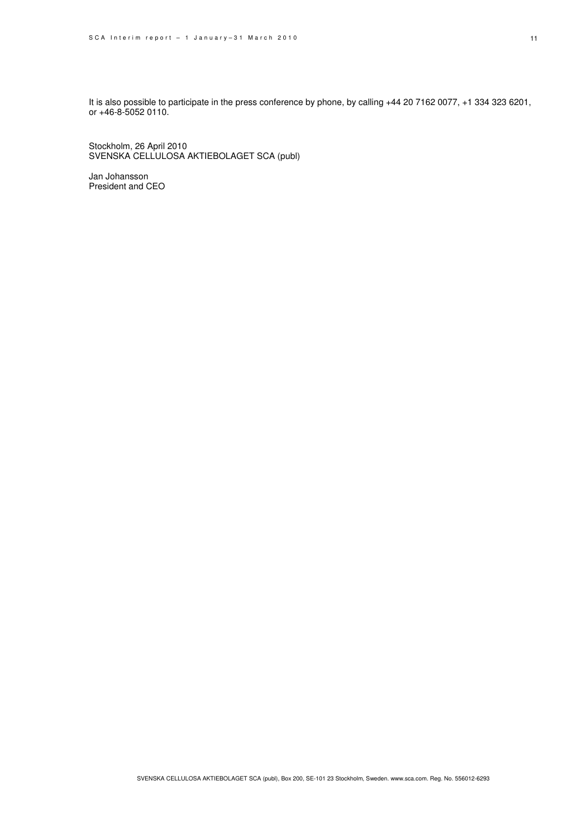It is also possible to participate in the press conference by phone, by calling +44 20 7162 0077, +1 334 323 6201, or +46-8-5052 0110.

Stockholm, 26 April 2010 SVENSKA CELLULOSA AKTIEBOLAGET SCA (publ)

Jan Johansson President and CEO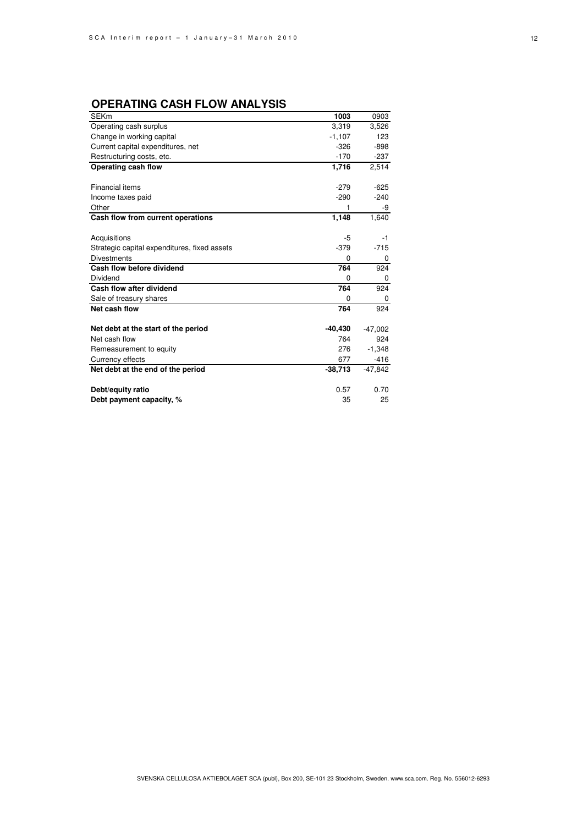## **OPERATING CASH FLOW ANALYSIS**

| <b>SEKm</b>                                  | 1003      | 0903      |
|----------------------------------------------|-----------|-----------|
| Operating cash surplus                       | 3.319     | 3,526     |
| Change in working capital                    | $-1,107$  | 123       |
| Current capital expenditures, net            | $-326$    | $-898$    |
| Restructuring costs, etc.                    | $-170$    | $-237$    |
| Operating cash flow                          | 1,716     | 2,514     |
|                                              |           |           |
| <b>Financial items</b>                       | $-279$    | $-625$    |
| Income taxes paid                            | $-290$    | $-240$    |
| Other                                        | 1         | -9        |
| Cash flow from current operations            | 1,148     | 1,640     |
|                                              |           |           |
| Acquisitions                                 | -5        | -1        |
| Strategic capital expenditures, fixed assets | $-379$    | $-715$    |
| <b>Divestments</b>                           | 0         | 0         |
| Cash flow before dividend                    | 764       | 924       |
| Dividend                                     | 0         | 0         |
| Cash flow after dividend                     | 764       | 924       |
|                                              |           |           |
| Sale of treasury shares                      | 0         | 0         |
| Net cash flow                                | 764       | 924       |
|                                              |           |           |
| Net debt at the start of the period          | -40,430   | $-47,002$ |
| Net cash flow                                | 764       | 924       |
| Remeasurement to equity                      | 276       | $-1,348$  |
| Currency effects                             | 677       | $-416$    |
| Net debt at the end of the period            | $-38,713$ | $-47,842$ |
|                                              |           |           |
| Debt/equity ratio                            | 0.57      | 0.70      |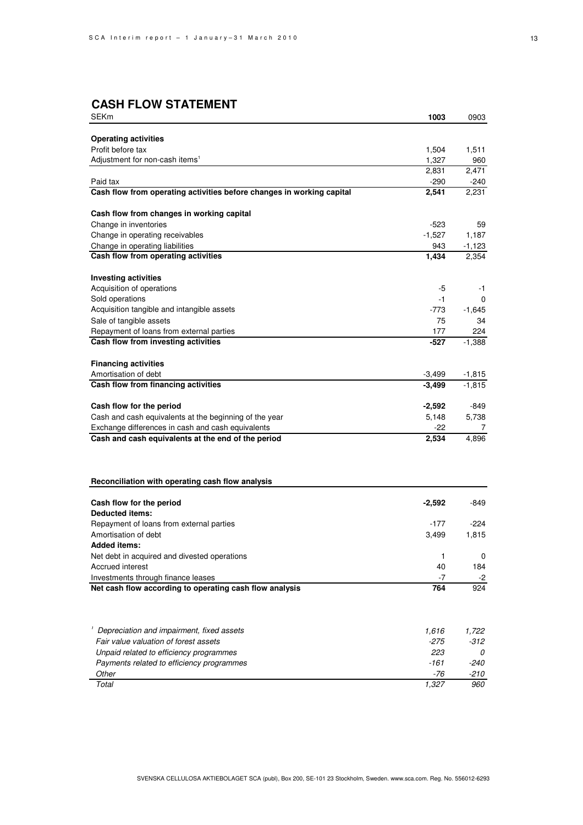# **CASH FLOW STATEMENT**

| SEKm                                                                                          | 1003     | 0903          |
|-----------------------------------------------------------------------------------------------|----------|---------------|
|                                                                                               |          |               |
| <b>Operating activities</b>                                                                   |          |               |
| Profit before tax                                                                             | 1,504    | 1,511         |
| Adjustment for non-cash items <sup>1</sup>                                                    | 1,327    | 960           |
|                                                                                               | 2,831    | 2,471         |
| Paid tax                                                                                      | $-290$   | -240          |
| Cash flow from operating activities before changes in working capital                         | 2,541    | 2,231         |
| Cash flow from changes in working capital                                                     |          |               |
| Change in inventories                                                                         | $-523$   | 59            |
| Change in operating receivables                                                               | $-1.527$ | 1,187         |
| Change in operating liabilities                                                               | 943      | $-1,123$      |
| Cash flow from operating activities                                                           | 1,434    | 2,354         |
|                                                                                               |          |               |
| <b>Investing activities</b>                                                                   |          |               |
| Acquisition of operations                                                                     | -5       | -1            |
| Sold operations                                                                               | -1       | 0             |
| Acquisition tangible and intangible assets                                                    | -773     | $-1.645$      |
| Sale of tangible assets                                                                       | 75       | 34            |
| Repayment of loans from external parties<br>Cash flow from investing activities               | 177      | 224           |
|                                                                                               | -527     | $-1,388$      |
| <b>Financing activities</b>                                                                   |          |               |
| Amortisation of debt                                                                          | $-3,499$ | $-1,815$      |
| Cash flow from financing activities                                                           | $-3,499$ | $-1,815$      |
|                                                                                               |          |               |
| Cash flow for the period                                                                      | $-2,592$ | -849          |
| Cash and cash equivalents at the beginning of the year                                        | 5,148    | 5,738         |
| Exchange differences in cash and cash equivalents                                             | -22      | 7             |
| Cash and cash equivalents at the end of the period                                            | 2,534    | 4,896         |
|                                                                                               |          |               |
| Reconciliation with operating cash flow analysis                                              |          |               |
|                                                                                               |          |               |
| Cash flow for the period                                                                      | $-2,592$ | -849          |
| <b>Deducted items:</b>                                                                        |          |               |
| Repayment of loans from external parties<br>Amortisation of debt                              | -177     | -224<br>1,815 |
| <b>Added items:</b>                                                                           | 3,499    |               |
|                                                                                               |          | 0             |
| Net debt in acquired and divested operations<br>Accrued interest                              | 1<br>40  |               |
|                                                                                               | $-7$     | 184           |
| Investments through finance leases<br>Net cash flow according to operating cash flow analysis | 764      | -2<br>924     |
|                                                                                               |          |               |
|                                                                                               |          |               |
| Depreciation and impairment, fixed assets                                                     | 1,616    | 1,722         |
| Fair value valuation of forest assets                                                         | $-275$   | $-312$        |
| Unpaid related to efficiency programmes                                                       | 223      | 0             |
| Payments related to efficiency programmes                                                     | -161     | $-240$        |
| Other                                                                                         | -76      | -210          |
| Total                                                                                         | 1,327    | 960           |
|                                                                                               |          |               |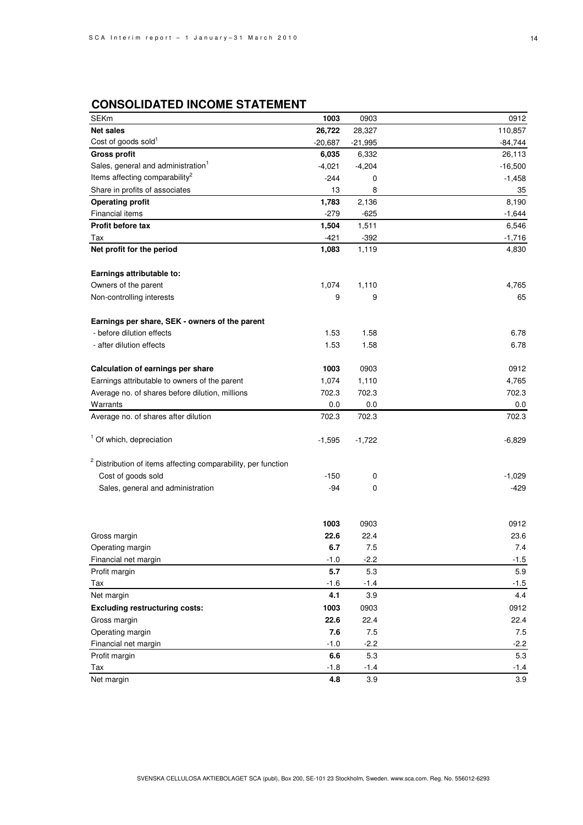## **CONSOLIDATED INCOME STATEMENT**

| <b>SEKm</b>                                                              | 1003      | 0903      | 0912      |
|--------------------------------------------------------------------------|-----------|-----------|-----------|
| <b>Net sales</b>                                                         | 26,722    | 28,327    | 110,857   |
| Cost of goods sold <sup>1</sup>                                          | $-20,687$ | $-21,995$ | $-84,744$ |
| <b>Gross profit</b>                                                      | 6,035     | 6,332     | 26,113    |
| Sales, general and administration <sup>1</sup>                           | $-4,021$  | $-4,204$  | $-16,500$ |
| Items affecting comparability <sup>2</sup>                               | $-244$    | 0         | $-1,458$  |
| Share in profits of associates                                           | 13        | 8         | 35        |
| <b>Operating profit</b>                                                  | 1,783     | 2,136     | 8,190     |
| Financial items                                                          | $-279$    | $-625$    | $-1,644$  |
| Profit before tax                                                        | 1,504     | 1,511     | 6,546     |
| Tax                                                                      | $-421$    | $-392$    | $-1,716$  |
| Net profit for the period                                                | 1,083     | 1,119     | 4,830     |
|                                                                          |           |           |           |
| Earnings attributable to:                                                |           |           |           |
| Owners of the parent                                                     | 1,074     | 1,110     | 4,765     |
| Non-controlling interests                                                | 9         | 9         | 65        |
| Earnings per share, SEK - owners of the parent                           |           |           |           |
| - before dilution effects                                                | 1.53      | 1.58      | 6.78      |
| - after dilution effects                                                 | 1.53      | 1.58      | 6.78      |
|                                                                          |           |           |           |
| Calculation of earnings per share                                        | 1003      | 0903      | 0912      |
| Earnings attributable to owners of the parent                            | 1,074     | 1,110     | 4,765     |
| Average no. of shares before dilution, millions                          | 702.3     | 702.3     | 702.3     |
| Warrants                                                                 | 0.0       | 0.0       | 0.0       |
| Average no. of shares after dilution                                     | 702.3     | 702.3     | 702.3     |
| <sup>1</sup> Of which, depreciation                                      | $-1,595$  | $-1,722$  | $-6,829$  |
| <sup>2</sup> Distribution of items affecting comparability, per function |           |           |           |
| Cost of goods sold                                                       | $-150$    | 0         | $-1,029$  |
| Sales, general and administration                                        | -94       | 0         | -429      |
|                                                                          |           |           |           |
|                                                                          | 1003      | 0903      | 0912      |
| Gross margin                                                             | 22.6      | 22.4      | 23.6      |
| Operating margin                                                         | 6.7       | 7.5       | 7.4       |
| Financial net margin                                                     | $-1.0$    | $-2.2$    | $-1.5$    |
| Profit margin                                                            | 5.7       | 5.3       | 5.9       |
| Tax                                                                      | $-1.6$    | $-1.4$    | $-1.5$    |
| Net margin                                                               | 4.1       | 3.9       | 4.4       |
| <b>Excluding restructuring costs:</b>                                    | 1003      | 0903      | 0912      |
| Gross margin                                                             | 22.6      | 22.4      | 22.4      |
| Operating margin                                                         | 7.6       | 7.5       | 7.5       |
| Financial net margin                                                     | $-1.0$    | $-2.2$    | $-2.2$    |
| Profit margin                                                            | 6.6       | 5.3       | 5.3       |
| Tax                                                                      | $-1.8$    | $-1.4$    | $-1.4$    |
| Net margin                                                               | 4.8       | 3.9       | 3.9       |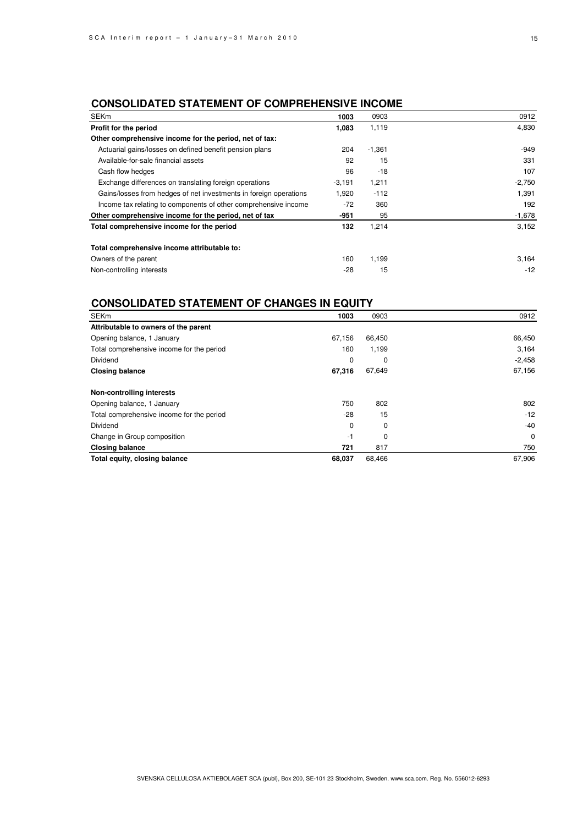## **CONSOLIDATED STATEMENT OF COMPREHENSIVE INCOME**

| <b>SEK<sub>m</sub></b>                                            | 1003     | 0903     | 0912     |
|-------------------------------------------------------------------|----------|----------|----------|
| Profit for the period                                             | 1,083    | 1,119    | 4,830    |
| Other comprehensive income for the period, net of tax:            |          |          |          |
| Actuarial gains/losses on defined benefit pension plans           | 204      | $-1,361$ | $-949$   |
| Available-for-sale financial assets                               | 92       | 15       | 331      |
| Cash flow hedges                                                  | 96       | $-18$    | 107      |
| Exchange differences on translating foreign operations            | $-3,191$ | 1,211    | $-2,750$ |
| Gains/losses from hedges of net investments in foreign operations | 1,920    | $-112$   | 1,391    |
| Income tax relating to components of other comprehensive income   | $-72$    | 360      | 192      |
| Other comprehensive income for the period, net of tax             | -951     | 95       | $-1,678$ |
| Total comprehensive income for the period                         | 132      | 1,214    | 3,152    |
| Total comprehensive income attributable to:                       |          |          |          |
| Owners of the parent                                              | 160      | 1,199    | 3,164    |
| Non-controlling interests                                         | -28      | 15       | $-12$    |

## **CONSOLIDATED STATEMENT OF CHANGES IN EQUITY**

| <b>SEKm</b>                               | 1003        | 0903   | 0912        |
|-------------------------------------------|-------------|--------|-------------|
| Attributable to owners of the parent      |             |        |             |
| Opening balance, 1 January                | 67.156      | 66,450 | 66,450      |
| Total comprehensive income for the period | 160         | 1,199  | 3,164       |
| <b>Dividend</b>                           | 0           | 0      | $-2,458$    |
| <b>Closing balance</b>                    | 67,316      | 67,649 | 67,156      |
| Non-controlling interests                 |             |        |             |
| Opening balance, 1 January                | 750         | 802    | 802         |
| Total comprehensive income for the period | $-28$       | 15     | $-12$       |
| Dividend                                  | $\mathbf 0$ | 0      | $-40$       |
| Change in Group composition               | -1          | 0      | $\mathbf 0$ |
| <b>Closing balance</b>                    | 721         | 817    | 750         |
| Total equity, closing balance             | 68,037      | 68,466 | 67,906      |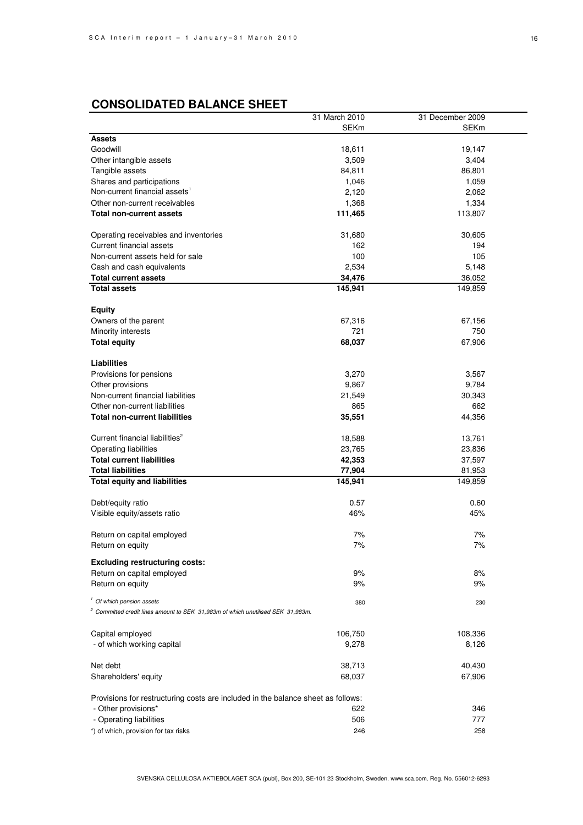# **CONSOLIDATED BALANCE SHEET**

|                                                                                            | 31 March 2010 | 31 December 2009 |
|--------------------------------------------------------------------------------------------|---------------|------------------|
|                                                                                            | <b>SEKm</b>   | <b>SEKm</b>      |
| <b>Assets</b>                                                                              |               |                  |
| Goodwill                                                                                   | 18,611        | 19,147           |
| Other intangible assets                                                                    | 3,509         | 3,404            |
| Tangible assets                                                                            | 84,811        | 86,801           |
| Shares and participations                                                                  | 1,046         | 1,059            |
| Non-current financial assets <sup>1</sup>                                                  | 2,120         | 2,062            |
| Other non-current receivables                                                              | 1,368         | 1,334            |
| <b>Total non-current assets</b>                                                            | 111,465       | 113,807          |
|                                                                                            |               |                  |
| Operating receivables and inventories                                                      | 31,680        | 30,605           |
| Current financial assets                                                                   | 162           | 194              |
| Non-current assets held for sale                                                           | 100           | 105              |
| Cash and cash equivalents                                                                  | 2,534         | 5,148            |
|                                                                                            |               |                  |
| <b>Total current assets</b><br><b>Total assets</b>                                         | 34,476        | 36,052           |
|                                                                                            | 145,941       | 149,859          |
| <b>Equity</b>                                                                              |               |                  |
| Owners of the parent                                                                       | 67,316        | 67,156           |
| Minority interests                                                                         | 721           | 750              |
|                                                                                            | 68,037        |                  |
| <b>Total equity</b>                                                                        |               | 67,906           |
| <b>Liabilities</b>                                                                         |               |                  |
| Provisions for pensions                                                                    | 3,270         | 3,567            |
| Other provisions                                                                           | 9,867         | 9,784            |
| Non-current financial liabilities                                                          | 21,549        | 30,343           |
|                                                                                            |               |                  |
| Other non-current liabilities                                                              | 865           | 662              |
| <b>Total non-current liabilities</b>                                                       | 35,551        | 44,356           |
| Current financial liabilities <sup>2</sup>                                                 | 18,588        | 13,761           |
| Operating liabilities                                                                      | 23,765        | 23,836           |
| <b>Total current liabilities</b>                                                           | 42,353        | 37,597           |
| <b>Total liabilities</b>                                                                   | 77,904        | 81,953           |
| <b>Total equity and liabilities</b>                                                        | 145,941       | 149,859          |
|                                                                                            |               |                  |
| Debt/equity ratio                                                                          | 0.57          | 0.60             |
| Visible equity/assets ratio                                                                | 46%           | 45%              |
|                                                                                            |               |                  |
| Return on capital employed                                                                 | 7%            | 7%               |
| Return on equity                                                                           | 7%            | 7%               |
|                                                                                            |               |                  |
| <b>Excluding restructuring costs:</b>                                                      |               |                  |
| Return on capital employed                                                                 | 9%            | 8%               |
| Return on equity                                                                           | 9%            | 9%               |
| <sup>1</sup> Of which pension assets                                                       | 380           | 230              |
| <sup>2</sup> Committed credit lines amount to SEK 31,983m of which unutilised SEK 31,983m. |               |                  |
|                                                                                            |               |                  |
| Capital employed                                                                           | 106,750       | 108,336          |
| - of which working capital                                                                 | 9,278         | 8,126            |
|                                                                                            |               |                  |
| Net debt                                                                                   | 38,713        | 40,430           |
| Shareholders' equity                                                                       | 68,037        | 67,906           |
|                                                                                            |               |                  |
| Provisions for restructuring costs are included in the balance sheet as follows:           |               |                  |
| - Other provisions*                                                                        | 622           | 346              |
| - Operating liabilities                                                                    | 506           | 777              |
| *) of which, provision for tax risks                                                       | 246           | 258              |
|                                                                                            |               |                  |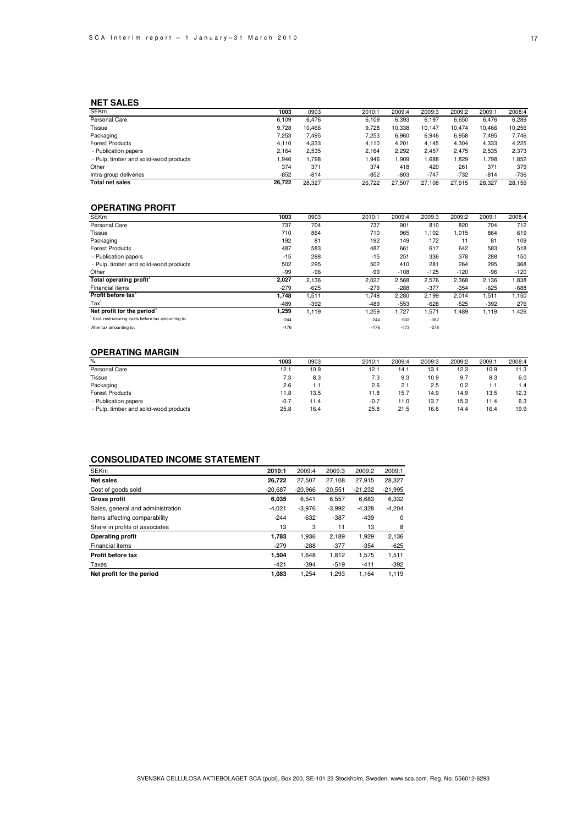### **NET SALES**

| <b>SEKm</b>                            | 1003   | 0903   | 2010:1 | 2009:4 | 2009:3 | 2009:2 | 2009:1 | 2008:4 |
|----------------------------------------|--------|--------|--------|--------|--------|--------|--------|--------|
| Personal Care                          | 6.109  | 6.476  | 6.109  | 6,393  | 6,197  | 6,650  | 6.476  | 6,289  |
| Tissue                                 | 9.728  | 10.466 | 9.728  | 10.338 | 10.147 | 10.474 | 10.466 | 10,256 |
| Packaging                              | 7.253  | 7.495  | 7.253  | 6,960  | 6,946  | 6,958  | 7.495  | 7.746  |
| <b>Forest Products</b>                 | 4.110  | 4,333  | 4.110  | 4.201  | 4.145  | 4,304  | 4,333  | 4,225  |
| - Publication papers                   | 2.164  | 2.535  | 2.164  | 2,292  | 2,457  | 2.475  | 2,535  | 2,373  |
| - Pulp, timber and solid-wood products | .946   | 1.798  | .946   | .909   | 1.688  | .829   | 1.798  | ,852   |
| Other                                  | 374    | 371    | 374    | 418    | 420    | 261    | 371    | 379    |
| Intra-group deliveries                 | $-852$ | $-814$ | $-852$ | $-803$ | $-747$ | $-732$ | $-814$ | $-736$ |
| <b>Total net sales</b>                 | 26.722 | 28.327 | 26.722 | 27.507 | 27.108 | 27.915 | 28.327 | 28.159 |

### **OPERATING PROFIT**

| <b>SEKm</b>                                        | 1003   | 0903   | 2010:1 | 2009:4 | 2009:3 | 2009:2 | 2009:1 | 2008:4 |
|----------------------------------------------------|--------|--------|--------|--------|--------|--------|--------|--------|
| Personal Care                                      | 737    | 704    | 737    | 901    | 810    | 820    | 704    | 712    |
| Tissue                                             | 710    | 864    | 710    | 965    | 1,102  | 1,015  | 864    | 619    |
| Packaging                                          | 192    | 81     | 192    | 149    | 172    | 11     | 81     | 109    |
| <b>Forest Products</b>                             | 487    | 583    | 487    | 661    | 617    | 642    | 583    | 518    |
| - Publication papers                               | $-15$  | 288    | $-15$  | 251    | 336    | 378    | 288    | 150    |
| - Pulp, timber and solid-wood products             | 502    | 295    | 502    | 410    | 281    | 264    | 295    | 368    |
| Other                                              | -99    | -96    | -99    | $-108$ | $-125$ | $-120$ | -96    | $-120$ |
| Total operating profit <sup>1</sup>                | 2,027  | 2,136  | 2,027  | 2,568  | 2,576  | 2,368  | 2,136  | 1,838  |
| Financial items                                    | $-279$ | $-625$ | $-279$ | $-288$ | $-377$ | $-354$ | $-625$ | $-688$ |
| Profit before tax'                                 | 1.748  | 1,511  | 1,748  | 2,280  | 2,199  | 2,014  | 1,511  | 1,150  |
| $\text{Tax}^1$                                     | $-489$ | $-392$ | -489   | $-553$ | $-628$ | $-525$ | $-392$ | 276    |
| Net profit for the period <sup>1</sup>             | 259.   | 1.119  | 259.   | 1,727  | 1,571  | 1,489  | 1,119  | 1,426  |
| Excl. restructuring costs before tax amounting to: | $-244$ |        | $-244$ | $-632$ | $-387$ |        |        |        |
| After tax amounting to:                            | $-176$ |        | $-176$ | $-473$ | $-278$ |        |        |        |

### **OPERATING MARGIN**

| %                                      | 1003   | 0903 | 2010:1 | 2009:4 | 2009:3 | 2009:2 | 2009:1 | 2008:4 |
|----------------------------------------|--------|------|--------|--------|--------|--------|--------|--------|
| Personal Care                          | 12.1   | 10.9 | 12.1   | 14.1   | 13.1   | 12.3   | 10.9   | 11.3   |
| Tissue                                 | 7.3    | 8.3  | 7.3    | 9.3    | 10.9   | 9.7    | 8.3    | 6.0    |
| Packaging                              | 2.6    | 1.1  | 2.6    | 2.1    | 2.5    | 0.2    | 1.1    | 1.4    |
| <b>Forest Products</b>                 | 11.8   | 13.5 | 11.8   | 15.7   | 14.9   | 14.9   | 13.5   | 12.3   |
| - Publication papers                   | $-0.7$ | 11.4 | $-0.7$ | 11.0   | 13.7   | 15.3   | 11.4   | 6.3    |
| - Pulp, timber and solid-wood products | 25.8   | 16.4 | 25.8   | 21.5   | 16.6   | 14.4   | 16.4   | 19.9   |
|                                        |        |      |        |        |        |        |        |        |

### **CONSOLIDATED INCOME STATEMENT**

| <b>SEKm</b>                       | 2010:1    | 2009:4    | 2009:3    | 2009:2    | 2009:1    |
|-----------------------------------|-----------|-----------|-----------|-----------|-----------|
| <b>Net sales</b>                  | 26,722    | 27,507    | 27,108    | 27.915    | 28,327    |
| Cost of goods sold                | $-20,687$ | $-20,966$ | $-20,551$ | $-21,232$ | $-21,995$ |
| <b>Gross profit</b>               | 6.035     | 6.541     | 6.557     | 6,683     | 6,332     |
| Sales, general and administration | $-4,021$  | $-3,976$  | $-3,992$  | $-4,328$  | $-4,204$  |
| Items affecting comparability     | $-244$    | $-632$    | $-387$    | $-439$    | 0         |
| Share in profits of associates    | 13        | 3         | 11        | 13        | 8         |
| <b>Operating profit</b>           | 1,783     | 1,936     | 2,189     | 1,929     | 2,136     |
| Financial items                   | $-279$    | $-288$    | $-377$    | $-354$    | $-625$    |
| Profit before tax                 | 1.504     | 1.648     | 1.812     | 1.575     | 1,511     |
| Taxes                             | $-421$    | $-394$    | $-519$    | $-411$    | $-392$    |
| Net profit for the period         | 1.083     | 1.254     | 1.293     | 1.164     | 1.119     |